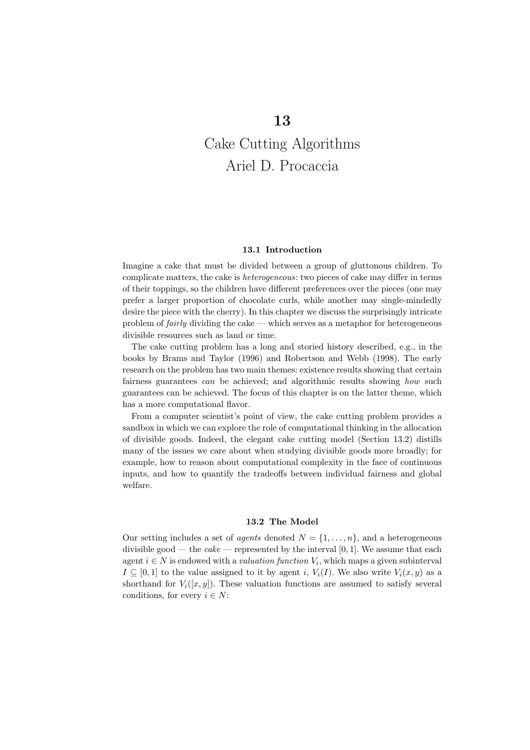# Cake Cutting Algorithms Ariel D. Procaccia

#### 13.1 Introduction

Imagine a cake that must be divided between a group of gluttonous children. To complicate matters, the cake is heterogeneous: two pieces of cake may differ in terms of their toppings, so the children have different preferences over the pieces (one may prefer a larger proportion of chocolate curls, while another may single-mindedly desire the piece with the cherry). In this chapter we discuss the surprisingly intricate problem of fairly dividing the cake — which serves as a metaphor for heterogeneous divisible resources such as land or time.

The cake cutting problem has a long and storied history described, e.g., in the books by Brams and Taylor (1996) and Robertson and Webb (1998). The early research on the problem has two main themes: existence results showing that certain fairness guarantees can be achieved; and algorithmic results showing how such guarantees can be achieved. The focus of this chapter is on the latter theme, which has a more computational flavor.

From a computer scientist's point of view, the cake cutting problem provides a sandbox in which we can explore the role of computational thinking in the allocation of divisible goods. Indeed, the elegant cake cutting model (Section 13.2) distills many of the issues we care about when studying divisible goods more broadly; for example, how to reason about computational complexity in the face of continuous inputs, and how to quantify the tradeoffs between individual fairness and global welfare.

#### 13.2 The Model

Our setting includes a set of *agents* denoted  $N = \{1, \ldots, n\}$ , and a heterogeneous divisible good — the *cake* — represented by the interval  $[0, 1]$ . We assume that each agent  $i \in N$  is endowed with a *valuation function*  $V_i$ , which maps a given subinterval  $I \subseteq [0,1]$  to the value assigned to it by agent i,  $V_i(I)$ . We also write  $V_i(x,y)$  as a shorthand for  $V_i([x,y])$ . These valuation functions are assumed to satisfy several conditions, for every  $i \in N$ :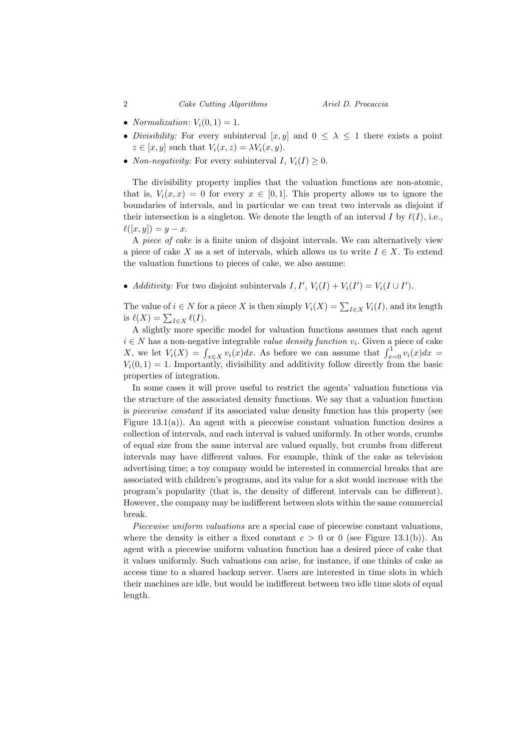- *Normalization*:  $V_i(0, 1) = 1$ .
- Divisibility: For every subinterval  $[x, y]$  and  $0 \leq \lambda \leq 1$  there exists a point  $z \in [x, y]$  such that  $V_i(x, z) = \lambda V_i(x, y)$ .
- *Non-negativity:* For every subinterval  $I, V_i(I) \geq 0$ .

The divisibility property implies that the valuation functions are non-atomic, that is,  $V_i(x, x) = 0$  for every  $x \in [0, 1]$ . This property allows us to ignore the boundaries of intervals, and in particular we can treat two intervals as disjoint if their intersection is a singleton. We denote the length of an interval I by  $\ell(I)$ , i.e.,  $\ell([x, y]) = y - x.$ 

A piece of cake is a finite union of disjoint intervals. We can alternatively view a piece of cake X as a set of intervals, which allows us to write  $I \in X$ . To extend the valuation functions to pieces of cake, we also assume:

• Additivity: For two disjoint subintervals  $I, I', V_i(I) + V_i(I') = V_i(I \cup I')$ .

The value of  $i \in N$  for a piece X is then simply  $V_i(X) = \sum_{I \in X} V_i(I)$ , and its length is  $\ell(X) = \sum_{I \in X} \ell(I).$ 

A slightly more specific model for valuation functions assumes that each agent  $i \in N$  has a non-negative integrable value density function  $v_i$ . Given a piece of cake X, we let  $V_i(X) = \int_{x \in X} v_i(x) dx$ . As before we can assume that  $\int_{x=0}^{1} v_i(x) dx =$  $V_i(0, 1) = 1$ . Importantly, divisibility and additivity follow directly from the basic properties of integration.

In some cases it will prove useful to restrict the agents' valuation functions via the structure of the associated density functions. We say that a valuation function is piecewise constant if its associated value density function has this property (see Figure 13.1(a)). An agent with a piecewise constant valuation function desires a collection of intervals, and each interval is valued uniformly. In other words, crumbs of equal size from the same interval are valued equally, but crumbs from different intervals may have different values. For example, think of the cake as television advertising time; a toy company would be interested in commercial breaks that are associated with children's programs, and its value for a slot would increase with the program's popularity (that is, the density of different intervals can be different). However, the company may be indifferent between slots within the same commercial break.

Piecewise uniform valuations are a special case of piecewise constant valuations, where the density is either a fixed constant  $c > 0$  or 0 (see Figure 13.1(b)). An agent with a piecewise uniform valuation function has a desired piece of cake that it values uniformly. Such valuations can arise, for instance, if one thinks of cake as access time to a shared backup server. Users are interested in time slots in which their machines are idle, but would be indifferent between two idle time slots of equal length.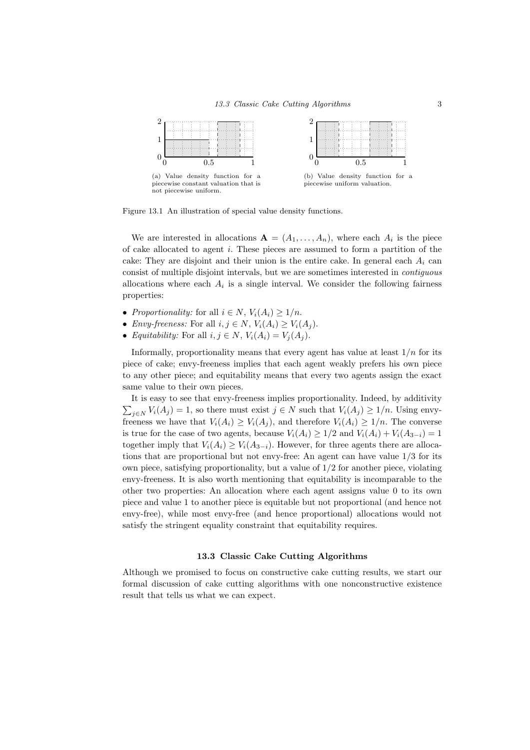

Figure 13.1 An illustration of special value density functions.

We are interested in allocations  $\mathbf{A} = (A_1, \ldots, A_n)$ , where each  $A_i$  is the piece of cake allocated to agent  $i$ . These pieces are assumed to form a partition of the cake: They are disjoint and their union is the entire cake. In general each  $A_i$  can consist of multiple disjoint intervals, but we are sometimes interested in contiguous allocations where each  $A_i$  is a single interval. We consider the following fairness properties:

- Proportionality: for all  $i \in N$ ,  $V_i(A_i) \geq 1/n$ .
- Envy-freeness: For all  $i, j \in N$ ,  $V_i(A_i) \geq V_i(A_j)$ .
- Equitability: For all  $i, j \in N$ ,  $V_i(A_i) = V_j(A_j)$ .

Informally, proportionality means that every agent has value at least  $1/n$  for its piece of cake; envy-freeness implies that each agent weakly prefers his own piece to any other piece; and equitability means that every two agents assign the exact same value to their own pieces.

It is easy to see that envy-freeness implies proportionality. Indeed, by additivity  $\sum_{j\in N} V_i(A_j) = 1$ , so there must exist  $j \in N$  such that  $V_i(A_j) \geq 1/n$ . Using envyfreeness we have that  $V_i(A_i) \geq V_i(A_j)$ , and therefore  $V_i(A_i) \geq 1/n$ . The converse is true for the case of two agents, because  $V_i(A_i) \geq 1/2$  and  $V_i(A_i) + V_i(A_{3-i}) = 1$ together imply that  $V_i(A_i) \geq V_i(A_{3-i})$ . However, for three agents there are allocations that are proportional but not envy-free: An agent can have value 1/3 for its own piece, satisfying proportionality, but a value of  $1/2$  for another piece, violating envy-freeness. It is also worth mentioning that equitability is incomparable to the other two properties: An allocation where each agent assigns value 0 to its own piece and value 1 to another piece is equitable but not proportional (and hence not envy-free), while most envy-free (and hence proportional) allocations would not satisfy the stringent equality constraint that equitability requires.

#### 13.3 Classic Cake Cutting Algorithms

Although we promised to focus on constructive cake cutting results, we start our formal discussion of cake cutting algorithms with one nonconstructive existence result that tells us what we can expect.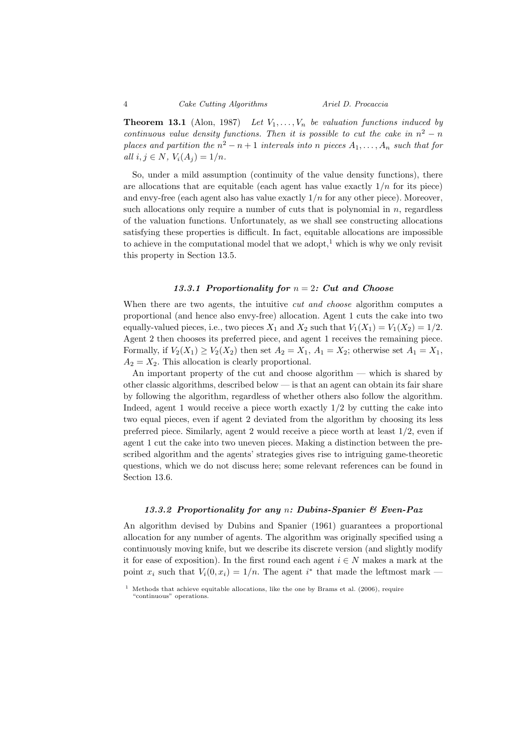#### 4 Cake Cutting Algorithms Ariel D. Procaccia

**Theorem 13.1** (Alon, 1987) Let  $V_1, \ldots, V_n$  be valuation functions induced by continuous value density functions. Then it is possible to cut the cake in  $n^2 - n$ places and partition the  $n^2 - n + 1$  intervals into n pieces  $A_1, \ldots, A_n$  such that for all  $i, j \in N$ ,  $V_i(A_i) = 1/n$ .

So, under a mild assumption (continuity of the value density functions), there are allocations that are equitable (each agent has value exactly  $1/n$  for its piece) and envy-free (each agent also has value exactly  $1/n$  for any other piece). Moreover, such allocations only require a number of cuts that is polynomial in  $n$ , regardless of the valuation functions. Unfortunately, as we shall see constructing allocations satisfying these properties is difficult. In fact, equitable allocations are impossible to achieve in the computational model that we adopt,<sup>1</sup> which is why we only revisit this property in Section 13.5.

#### 13.3.1 Proportionality for  $n = 2$ : Cut and Choose

When there are two agents, the intuitive *cut and choose* algorithm computes a proportional (and hence also envy-free) allocation. Agent 1 cuts the cake into two equally-valued pieces, i.e., two pieces  $X_1$  and  $X_2$  such that  $V_1(X_1) = V_1(X_2) = 1/2$ . Agent 2 then chooses its preferred piece, and agent 1 receives the remaining piece. Formally, if  $V_2(X_1) \ge V_2(X_2)$  then set  $A_2 = X_1$ ,  $A_1 = X_2$ ; otherwise set  $A_1 = X_1$ ,  $A_2 = X_2$ . This allocation is clearly proportional.

An important property of the cut and choose algorithm — which is shared by other classic algorithms, described below — is that an agent can obtain its fair share by following the algorithm, regardless of whether others also follow the algorithm. Indeed, agent 1 would receive a piece worth exactly 1/2 by cutting the cake into two equal pieces, even if agent 2 deviated from the algorithm by choosing its less preferred piece. Similarly, agent 2 would receive a piece worth at least 1/2, even if agent 1 cut the cake into two uneven pieces. Making a distinction between the prescribed algorithm and the agents' strategies gives rise to intriguing game-theoretic questions, which we do not discuss here; some relevant references can be found in Section 13.6.

#### 13.3.2 Proportionality for any n: Dubins-Spanier & Even-Paz

An algorithm devised by Dubins and Spanier (1961) guarantees a proportional allocation for any number of agents. The algorithm was originally specified using a continuously moving knife, but we describe its discrete version (and slightly modify it for ease of exposition). In the first round each agent  $i \in N$  makes a mark at the point  $x_i$  such that  $V_i(0, x_i) = 1/n$ . The agent  $i^*$  that made the leftmost mark –

<sup>&</sup>lt;sup>1</sup> Methods that achieve equitable allocations, like the one by Brams et al. (2006), require "continuous" operations.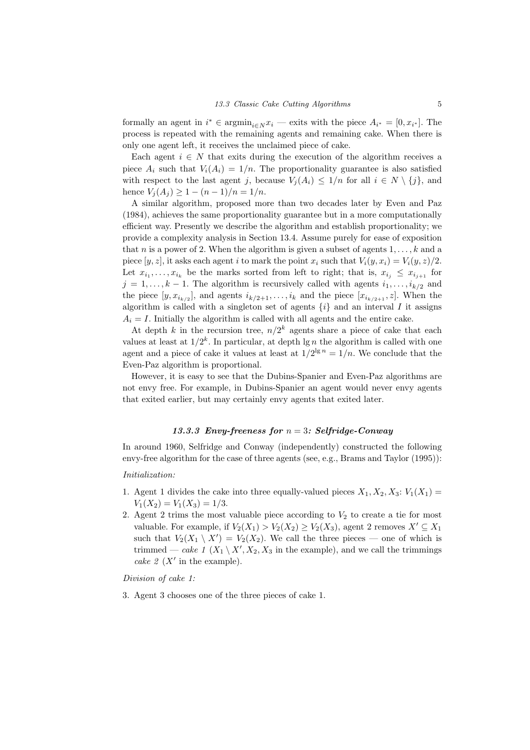formally an agent in  $i^* \in \text{argmin}_{i \in N} x_i$  — exits with the piece  $A_{i^*} = [0, x_{i^*}]$ . The process is repeated with the remaining agents and remaining cake. When there is only one agent left, it receives the unclaimed piece of cake.

Each agent  $i \in N$  that exits during the execution of the algorithm receives a piece  $A_i$  such that  $V_i(A_i) = 1/n$ . The proportionality guarantee is also satisfied with respect to the last agent j, because  $V_i(A_i) \leq 1/n$  for all  $i \in N \setminus \{j\}$ , and hence  $V_i(A_i) \geq 1 - (n-1)/n = 1/n$ .

A similar algorithm, proposed more than two decades later by Even and Paz (1984), achieves the same proportionality guarantee but in a more computationally efficient way. Presently we describe the algorithm and establish proportionality; we provide a complexity analysis in Section 13.4. Assume purely for ease of exposition that n is a power of 2. When the algorithm is given a subset of agents  $1, \ldots, k$  and a piece  $[y, z]$ , it asks each agent i to mark the point  $x_i$  such that  $V_i(y, x_i) = V_i(y, z)/2$ . Let  $x_{i_1}, \ldots, x_{i_k}$  be the marks sorted from left to right; that is,  $x_{i_j} \leq x_{i_{j+1}}$  for  $j = 1, \ldots, k - 1$ . The algorithm is recursively called with agents  $i_1, \ldots, i_{k/2}$  and the piece  $[y, x_{i_{k/2}}]$ , and agents  $i_{k/2+1}, \ldots, i_k$  and the piece  $[x_{i_{k/2+1}}, z]$ . When the algorithm is called with a singleton set of agents  $\{i\}$  and an interval I it assigns  $A_i = I$ . Initially the algorithm is called with all agents and the entire cake.

At depth k in the recursion tree,  $n/2^k$  agents share a piece of cake that each values at least at  $1/2^k$ . In particular, at depth  $\lg n$  the algorithm is called with one agent and a piece of cake it values at least at  $1/2^{\lg n} = 1/n$ . We conclude that the Even-Paz algorithm is proportional.

However, it is easy to see that the Dubins-Spanier and Even-Paz algorithms are not envy free. For example, in Dubins-Spanier an agent would never envy agents that exited earlier, but may certainly envy agents that exited later.

#### 13.3.3 Envy-freeness for  $n = 3$ : Selfridge-Conway

In around 1960, Selfridge and Conway (independently) constructed the following envy-free algorithm for the case of three agents (see, e.g., Brams and Taylor (1995)):

#### Initialization:

- 1. Agent 1 divides the cake into three equally-valued pieces  $X_1, X_2, X_3: V_1(X_1) =$  $V_1(X_2) = V_1(X_3) = 1/3.$
- 2. Agent 2 trims the most valuable piece according to  $V_2$  to create a tie for most valuable. For example, if  $V_2(X_1) > V_2(X_2) \geq V_2(X_3)$ , agent 2 removes  $X' \subseteq X_1$ such that  $V_2(X_1 \setminus X') = V_2(X_2)$ . We call the three pieces — one of which is trimmed — cake  $1 (X_1 \setminus X', X_2, X_3)$  in the example), and we call the trimmings cake  $2(X')$  in the example).

Division of cake 1:

3. Agent 3 chooses one of the three pieces of cake 1.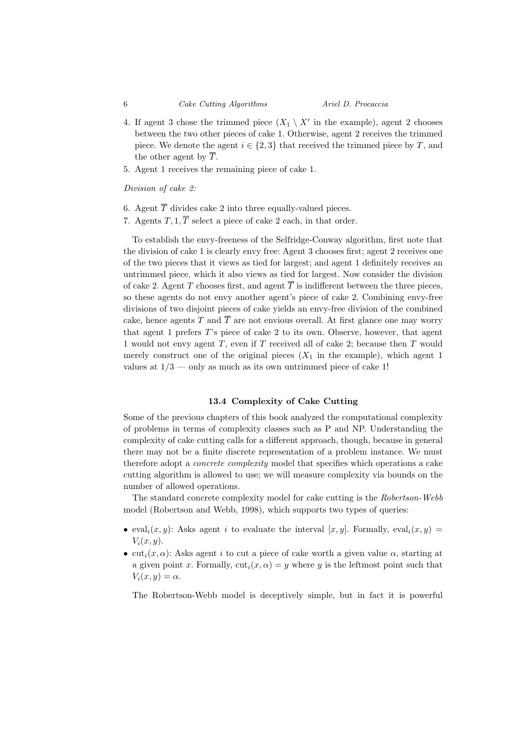- 4. If agent 3 chose the trimmed piece  $(X_1 \setminus X'$  in the example), agent 2 chooses between the two other pieces of cake 1. Otherwise, agent 2 receives the trimmed piece. We denote the agent  $i \in \{2,3\}$  that received the trimmed piece by T, and the other agent by  $\overline{T}$ .
- 5. Agent 1 receives the remaining piece of cake 1.

Division of cake 2:

- 6. Agent  $\overline{T}$  divides cake 2 into three equally-valued pieces.
- 7. Agents  $T, 1, \overline{T}$  select a piece of cake 2 each, in that order.

To establish the envy-freeness of the Selfridge-Conway algorithm, first note that the division of cake 1 is clearly envy free: Agent 3 chooses first; agent 2 receives one of the two pieces that it views as tied for largest; and agent 1 definitely receives an untrimmed piece, which it also views as tied for largest. Now consider the division of cake 2. Agent T chooses first, and agent  $\overline{T}$  is indifferent between the three pieces, so these agents do not envy another agent's piece of cake 2. Combining envy-free divisions of two disjoint pieces of cake yields an envy-free division of the combined cake, hence agents T and  $\overline{T}$  are not envious overall. At first glance one may worry that agent 1 prefers T's piece of cake 2 to its own. Observe, however, that agent 1 would not envy agent  $T$ , even if  $T$  received all of cake 2; because then  $T$  would merely construct one of the original pieces  $(X_1$  in the example), which agent 1 values at  $1/3$  — only as much as its own untrimmed piece of cake 1!

#### 13.4 Complexity of Cake Cutting

Some of the previous chapters of this book analyzed the computational complexity of problems in terms of complexity classes such as P and NP. Understanding the complexity of cake cutting calls for a different approach, though, because in general there may not be a finite discrete representation of a problem instance. We must therefore adopt a *concrete complexity* model that specifies which operations a cake cutting algorithm is allowed to use; we will measure complexity via bounds on the number of allowed operations.

The standard concrete complexity model for cake cutting is the Robertson-Webb model (Robertson and Webb, 1998), which supports two types of queries:

- eval<sub>i</sub> $(x, y)$ : Asks agent i to evaluate the interval  $[x, y]$ . Formally, eval<sub>i</sub> $(x, y)$  =  $V_i(x, y)$ .
- cut<sub>i</sub> $(x, \alpha)$ : Asks agent i to cut a piece of cake worth a given value  $\alpha$ , starting at a given point x. Formally,  $\text{cut}_i(x, \alpha) = y$  where y is the leftmost point such that  $V_i(x, y) = \alpha.$

The Robertson-Webb model is deceptively simple, but in fact it is powerful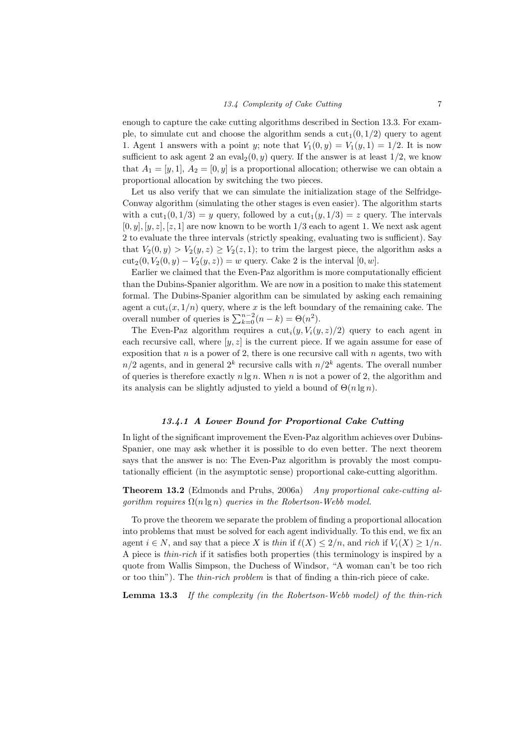enough to capture the cake cutting algorithms described in Section 13.3. For example, to simulate cut and choose the algorithm sends a  $cut_1(0, 1/2)$  query to agent 1. Agent 1 answers with a point y; note that  $V_1(0, y) = V_1(y, 1) = 1/2$ . It is now sufficient to ask agent 2 an eval $(0, y)$  query. If the answer is at least  $1/2$ , we know that  $A_1 = [y, 1], A_2 = [0, y]$  is a proportional allocation; otherwise we can obtain a proportional allocation by switching the two pieces.

Let us also verify that we can simulate the initialization stage of the Selfridge-Conway algorithm (simulating the other stages is even easier). The algorithm starts with a  $\text{cut}_1(0, 1/3) = y$  query, followed by a  $\text{cut}_1(y, 1/3) = z$  query. The intervals  $[0, y], [y, z], [z, 1]$  are now known to be worth  $1/3$  each to agent 1. We next ask agent 2 to evaluate the three intervals (strictly speaking, evaluating two is sufficient). Say that  $V_2(0, y) > V_2(y, z) \geq V_2(z, 1)$ ; to trim the largest piece, the algorithm asks a cut<sub>2</sub>(0,  $V_2(0, y) - V_2(y, z) = w$  query. Cake 2 is the interval [0, w].

Earlier we claimed that the Even-Paz algorithm is more computationally efficient than the Dubins-Spanier algorithm. We are now in a position to make this statement formal. The Dubins-Spanier algorithm can be simulated by asking each remaining agent a  $\text{cut}_i(x, 1/n)$  query, where x is the left boundary of the remaining cake. The overall number of queries is  $\sum_{k=0}^{n-2} (n-k) = \Theta(n^2)$ .

The Even-Paz algorithm requires a  $\text{cut}_i(y, V_i(y, z)/2)$  query to each agent in each recursive call, where  $[y, z]$  is the current piece. If we again assume for ease of exposition that  $n$  is a power of 2, there is one recursive call with  $n$  agents, two with  $n/2$  agents, and in general  $2^k$  recursive calls with  $n/2^k$  agents. The overall number of queries is therefore exactly  $n \lg n$ . When n is not a power of 2, the algorithm and its analysis can be slightly adjusted to yield a bound of  $\Theta(n \lg n)$ .

#### 13.4.1 A Lower Bound for Proportional Cake Cutting

In light of the significant improvement the Even-Paz algorithm achieves over Dubins-Spanier, one may ask whether it is possible to do even better. The next theorem says that the answer is no: The Even-Paz algorithm is provably the most computationally efficient (in the asymptotic sense) proportional cake-cutting algorithm.

Theorem 13.2 (Edmonds and Pruhs, 2006a) Any proportional cake-cutting alqorithm requires  $\Omega(n \lg n)$  queries in the Robertson-Webb model.

To prove the theorem we separate the problem of finding a proportional allocation into problems that must be solved for each agent individually. To this end, we fix an agent  $i \in N$ , and say that a piece X is thin if  $\ell(X) \leq 2/n$ , and rich if  $V_i(X) \geq 1/n$ . A piece is thin-rich if it satisfies both properties (this terminology is inspired by a quote from Wallis Simpson, the Duchess of Windsor, "A woman can't be too rich or too thin"). The thin-rich problem is that of finding a thin-rich piece of cake.

Lemma 13.3 If the complexity (in the Robertson-Webb model) of the thin-rich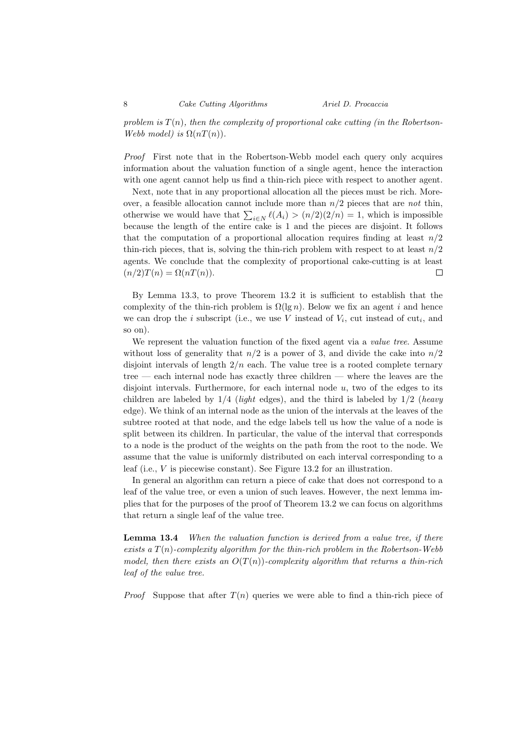problem is  $T(n)$ , then the complexity of proportional cake cutting (in the Robertson-Webb model) is  $\Omega(nT(n))$ .

Proof First note that in the Robertson-Webb model each query only acquires information about the valuation function of a single agent, hence the interaction with one agent cannot help us find a thin-rich piece with respect to another agent.

Next, note that in any proportional allocation all the pieces must be rich. Moreover, a feasible allocation cannot include more than  $n/2$  pieces that are not thin, otherwise we would have that  $\sum_{i \in N} \ell(A_i) > (n/2)(2/n) = 1$ , which is impossible because the length of the entire cake is 1 and the pieces are disjoint. It follows that the computation of a proportional allocation requires finding at least  $n/2$ thin-rich pieces, that is, solving the thin-rich problem with respect to at least  $n/2$ agents. We conclude that the complexity of proportional cake-cutting is at least  $(n/2)T(n) = \Omega(nT(n)).$  $\Box$ 

By Lemma 13.3, to prove Theorem 13.2 it is sufficient to establish that the complexity of the thin-rich problem is  $\Omega(\lg n)$ . Below we fix an agent i and hence we can drop the *i* subscript (i.e., we use V instead of  $V_i$ , cut instead of  $\text{cut}_i$ , and so on).

We represent the valuation function of the fixed agent via a *value tree*. Assume without loss of generality that  $n/2$  is a power of 3, and divide the cake into  $n/2$ disjoint intervals of length  $2/n$  each. The value tree is a rooted complete ternary tree — each internal node has exactly three children — where the leaves are the disjoint intervals. Furthermore, for each internal node  $u$ , two of the edges to its children are labeled by  $1/4$  (*light* edges), and the third is labeled by  $1/2$  (*heavy* edge). We think of an internal node as the union of the intervals at the leaves of the subtree rooted at that node, and the edge labels tell us how the value of a node is split between its children. In particular, the value of the interval that corresponds to a node is the product of the weights on the path from the root to the node. We assume that the value is uniformly distributed on each interval corresponding to a leaf (i.e., V is piecewise constant). See Figure 13.2 for an illustration.

In general an algorithm can return a piece of cake that does not correspond to a leaf of the value tree, or even a union of such leaves. However, the next lemma implies that for the purposes of the proof of Theorem 13.2 we can focus on algorithms that return a single leaf of the value tree.

Lemma 13.4 When the valuation function is derived from a value tree, if there exists a  $T(n)$ -complexity algorithm for the thin-rich problem in the Robertson-Webb model, then there exists an  $O(T(n))$ -complexity algorithm that returns a thin-rich leaf of the value tree.

*Proof* Suppose that after  $T(n)$  queries we were able to find a thin-rich piece of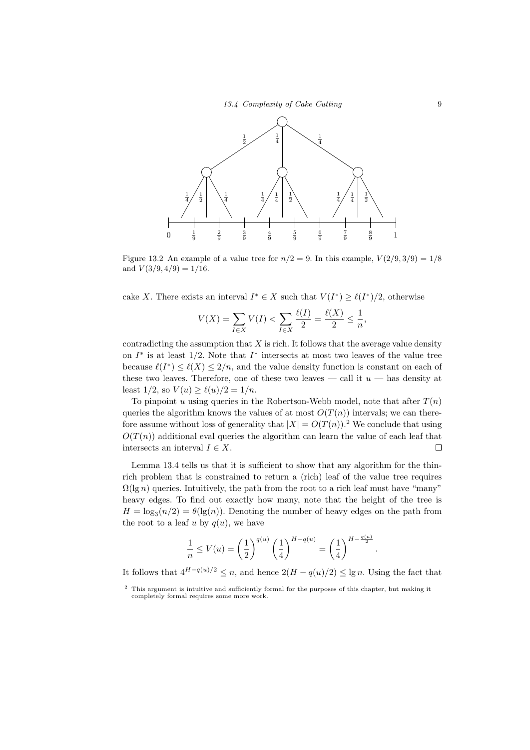

Figure 13.2 An example of a value tree for  $n/2 = 9$ . In this example,  $V(2/9, 3/9) = 1/8$ and  $V(3/9, 4/9) = 1/16$ .

cake X. There exists an interval  $I^* \in X$  such that  $V(I^*) \geq \ell(I^*)/2$ , otherwise

$$
V(X) = \sum_{I \in X} V(I) < \sum_{I \in X} \frac{\ell(I)}{2} = \frac{\ell(X)}{2} \le \frac{1}{n},
$$

contradicting the assumption that  $X$  is rich. It follows that the average value density on  $I^*$  is at least 1/2. Note that  $I^*$  intersects at most two leaves of the value tree because  $\ell(I^*) \leq \ell(X) \leq 2/n$ , and the value density function is constant on each of these two leaves. Therefore, one of these two leaves — call it  $u$  — has density at least  $1/2$ , so  $V(u) \ge \ell(u)/2 = 1/n$ .

To pinpoint u using queries in the Robertson-Webb model, note that after  $T(n)$ queries the algorithm knows the values of at most  $O(T(n))$  intervals; we can therefore assume without loss of generality that  $|X| = O(T(n))$ .<sup>2</sup> We conclude that using  $O(T(n))$  additional eval queries the algorithm can learn the value of each leaf that intersects an interval  $I \in X$ .  $\Box$ 

Lemma 13.4 tells us that it is sufficient to show that any algorithm for the thinrich problem that is constrained to return a (rich) leaf of the value tree requires  $\Omega(\lg n)$  queries. Intuitively, the path from the root to a rich leaf must have "many" heavy edges. To find out exactly how many, note that the height of the tree is  $H = \log_3(n/2) = \theta(\lg(n))$ . Denoting the number of heavy edges on the path from the root to a leaf u by  $q(u)$ , we have

$$
\frac{1}{n} \le V(u) = \left(\frac{1}{2}\right)^{q(u)} \left(\frac{1}{4}\right)^{H-q(u)} = \left(\frac{1}{4}\right)^{H-\frac{q(u)}{2}}
$$

.

It follows that  $4^{H-q(u)/2} \leq n$ , and hence  $2(H-q(u)/2) \leq \lg n$ . Using the fact that

<sup>2</sup> This argument is intuitive and sufficiently formal for the purposes of this chapter, but making it completely formal requires some more work.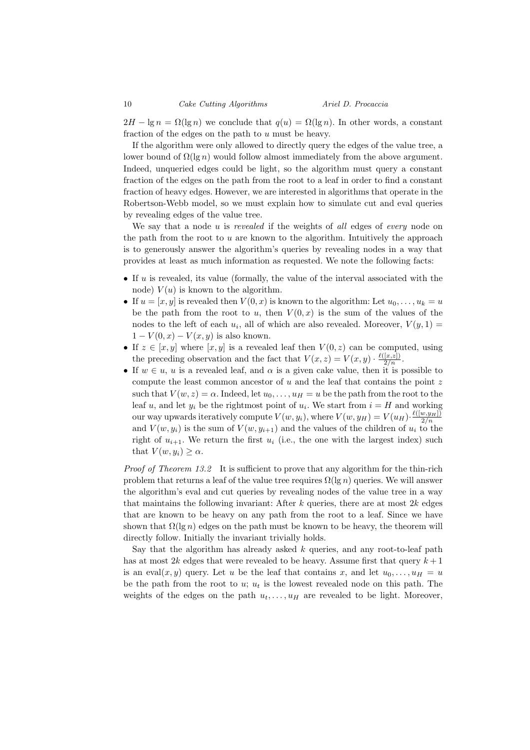$2H - \lg n = \Omega(\lg n)$  we conclude that  $q(u) = \Omega(\lg n)$ . In other words, a constant fraction of the edges on the path to u must be heavy.

If the algorithm were only allowed to directly query the edges of the value tree, a lower bound of  $\Omega(\lg n)$  would follow almost immediately from the above argument. Indeed, unqueried edges could be light, so the algorithm must query a constant fraction of the edges on the path from the root to a leaf in order to find a constant fraction of heavy edges. However, we are interested in algorithms that operate in the Robertson-Webb model, so we must explain how to simulate cut and eval queries by revealing edges of the value tree.

We say that a node u is revealed if the weights of all edges of every node on the path from the root to  $u$  are known to the algorithm. Intuitively the approach is to generously answer the algorithm's queries by revealing nodes in a way that provides at least as much information as requested. We note the following facts:

- If  $u$  is revealed, its value (formally, the value of the interval associated with the node)  $V(u)$  is known to the algorithm.
- If  $u = [x, y]$  is revealed then  $V(0, x)$  is known to the algorithm: Let  $u_0, \ldots, u_k = u$ be the path from the root to u, then  $V(0, x)$  is the sum of the values of the nodes to the left of each  $u_i$ , all of which are also revealed. Moreover,  $V(y, 1) =$  $1 - V(0, x) - V(x, y)$  is also known.
- If  $z \in [x, y]$  where  $[x, y]$  is a revealed leaf then  $V(0, z)$  can be computed, using the preceding observation and the fact that  $V(x, z) = V(x, y) \cdot \frac{\ell([x, z])}{2/n}$ .
- If  $w \in u$ , u is a revealed leaf, and  $\alpha$  is a given cake value, then it is possible to compute the least common ancestor of  $u$  and the leaf that contains the point  $z$ such that  $V(w, z) = \alpha$ . Indeed, let  $u_0, \ldots, u_H = u$  be the path from the root to the leaf u, and let  $y_i$  be the rightmost point of  $u_i$ . We start from  $i = H$  and working our way upwards iteratively compute  $V(w, y_i)$ , where  $V(w, y_H) = V(u_H) \cdot \frac{\ell([w, y_H])}{2/n}$ and  $V(w, y_i)$  is the sum of  $V(w, y_{i+1})$  and the values of the children of  $u_i$  to the right of  $u_{i+1}$ . We return the first  $u_i$  (i.e., the one with the largest index) such that  $V(w, y_i) \geq \alpha$ .

Proof of Theorem 13.2 It is sufficient to prove that any algorithm for the thin-rich problem that returns a leaf of the value tree requires  $\Omega(\lg n)$  queries. We will answer the algorithm's eval and cut queries by revealing nodes of the value tree in a way that maintains the following invariant: After  $k$  queries, there are at most  $2k$  edges that are known to be heavy on any path from the root to a leaf. Since we have shown that  $\Omega(\lg n)$  edges on the path must be known to be heavy, the theorem will directly follow. Initially the invariant trivially holds.

Say that the algorithm has already asked  $k$  queries, and any root-to-leaf path has at most  $2k$  edges that were revealed to be heavy. Assume first that query  $k+1$ is an eval $(x, y)$  query. Let u be the leaf that contains x, and let  $u_0, \ldots, u_H = u$ be the path from the root to u;  $u_t$  is the lowest revealed node on this path. The weights of the edges on the path  $u_t, \ldots, u_H$  are revealed to be light. Moreover,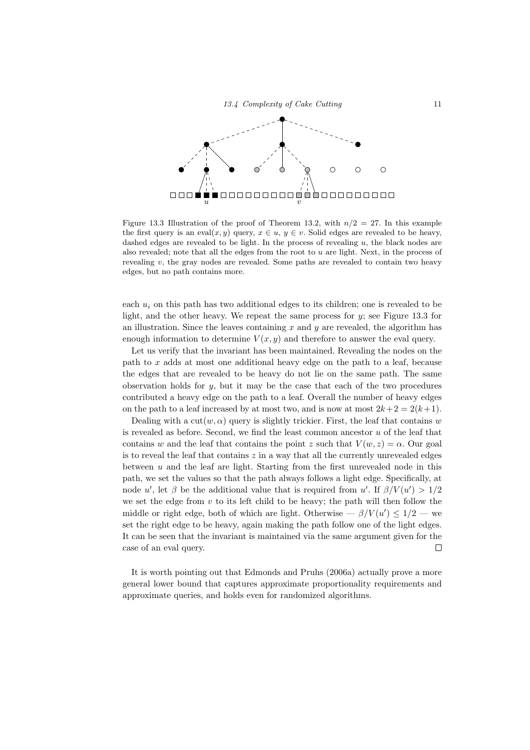

Figure 13.3 Illustration of the proof of Theorem 13.2, with  $n/2 = 27$ . In this example the first query is an eval $(x, y)$  query,  $x \in u$ ,  $y \in v$ . Solid edges are revealed to be heavy, dashed edges are revealed to be light. In the process of revealing  $u$ , the black nodes are also revealed; note that all the edges from the root to u are light. Next, in the process of revealing  $v$ , the gray nodes are revealed. Some paths are revealed to contain two heavy edges, but no path contains more.

each  $u_i$  on this path has two additional edges to its children; one is revealed to be light, and the other heavy. We repeat the same process for y; see Figure 13.3 for an illustration. Since the leaves containing  $x$  and  $y$  are revealed, the algorithm has enough information to determine  $V(x, y)$  and therefore to answer the eval query.

Let us verify that the invariant has been maintained. Revealing the nodes on the path to  $x$  adds at most one additional heavy edge on the path to a leaf, because the edges that are revealed to be heavy do not lie on the same path. The same observation holds for  $y$ , but it may be the case that each of the two procedures contributed a heavy edge on the path to a leaf. Overall the number of heavy edges on the path to a leaf increased by at most two, and is now at most  $2k+2 = 2(k+1)$ .

Dealing with a  $\text{cut}(w, \alpha)$  query is slightly trickier. First, the leaf that contains w is revealed as before. Second, we find the least common ancestor  $u$  of the leaf that contains w and the leaf that contains the point z such that  $V(w, z) = \alpha$ . Our goal is to reveal the leaf that contains  $z$  in a way that all the currently unrevealed edges between  $u$  and the leaf are light. Starting from the first unrevealed node in this path, we set the values so that the path always follows a light edge. Specifically, at node u', let  $\beta$  be the additional value that is required from u'. If  $\beta/V(u') > 1/2$ we set the edge from  $v$  to its left child to be heavy; the path will then follow the middle or right edge, both of which are light. Otherwise  $-\beta/V(u') \leq 1/2$  — we set the right edge to be heavy, again making the path follow one of the light edges. It can be seen that the invariant is maintained via the same argument given for the case of an eval query.  $\Box$ 

It is worth pointing out that Edmonds and Pruhs (2006a) actually prove a more general lower bound that captures approximate proportionality requirements and approximate queries, and holds even for randomized algorithms.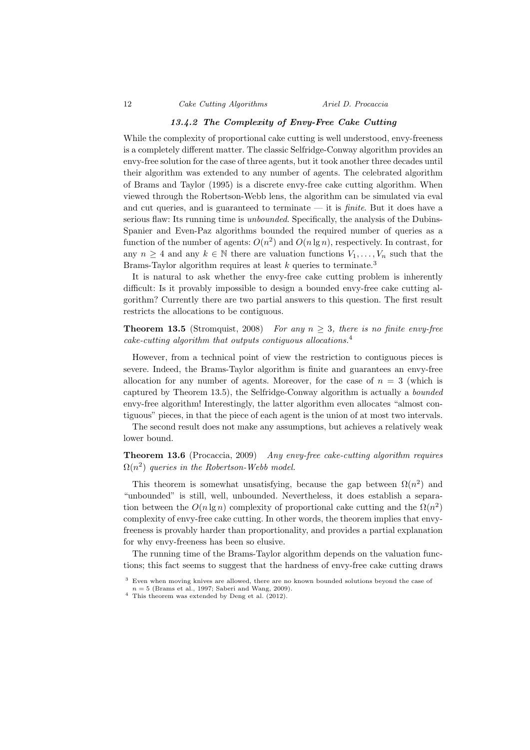### 13.4.2 The Complexity of Envy-Free Cake Cutting

While the complexity of proportional cake cutting is well understood, envy-freeness is a completely different matter. The classic Selfridge-Conway algorithm provides an envy-free solution for the case of three agents, but it took another three decades until their algorithm was extended to any number of agents. The celebrated algorithm of Brams and Taylor (1995) is a discrete envy-free cake cutting algorithm. When viewed through the Robertson-Webb lens, the algorithm can be simulated via eval and cut queries, and is guaranteed to terminate  $-$  it is *finite*. But it does have a serious flaw: Its running time is *unbounded*. Specifically, the analysis of the Dubins-Spanier and Even-Paz algorithms bounded the required number of queries as a function of the number of agents:  $O(n^2)$  and  $O(n \lg n)$ , respectively. In contrast, for any  $n \geq 4$  and any  $k \in \mathbb{N}$  there are valuation functions  $V_1, \ldots, V_n$  such that the Brams-Taylor algorithm requires at least  $k$  queries to terminate.<sup>3</sup>

It is natural to ask whether the envy-free cake cutting problem is inherently difficult: Is it provably impossible to design a bounded envy-free cake cutting algorithm? Currently there are two partial answers to this question. The first result restricts the allocations to be contiguous.

**Theorem 13.5** (Stromquist, 2008) For any  $n \geq 3$ , there is no finite envy-free cake-cutting algorithm that outputs contiguous allocations.<sup>4</sup>

However, from a technical point of view the restriction to contiguous pieces is severe. Indeed, the Brams-Taylor algorithm is finite and guarantees an envy-free allocation for any number of agents. Moreover, for the case of  $n = 3$  (which is captured by Theorem 13.5), the Selfridge-Conway algorithm is actually a bounded envy-free algorithm! Interestingly, the latter algorithm even allocates "almost contiguous" pieces, in that the piece of each agent is the union of at most two intervals.

The second result does not make any assumptions, but achieves a relatively weak lower bound.

Theorem 13.6 (Procaccia, 2009) Any envy-free cake-cutting algorithm requires  $\Omega(n^2)$  queries in the Robertson-Webb model.

This theorem is somewhat unsatisfying, because the gap between  $\Omega(n^2)$  and "unbounded" is still, well, unbounded. Nevertheless, it does establish a separation between the  $O(n \lg n)$  complexity of proportional cake cutting and the  $\Omega(n^2)$ complexity of envy-free cake cutting. In other words, the theorem implies that envyfreeness is provably harder than proportionality, and provides a partial explanation for why envy-freeness has been so elusive.

The running time of the Brams-Taylor algorithm depends on the valuation functions; this fact seems to suggest that the hardness of envy-free cake cutting draws

<sup>3</sup> Even when moving knives are allowed, there are no known bounded solutions beyond the case of  $n = 5$  (Brams et al., 1997; Saberi and Wang, 2009).

 $4$  This theorem was extended by Deng et al. (2012).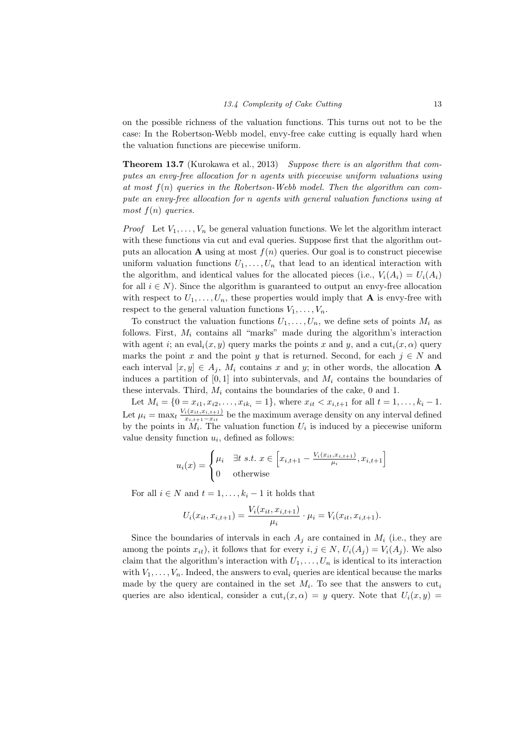on the possible richness of the valuation functions. This turns out not to be the case: In the Robertson-Webb model, envy-free cake cutting is equally hard when the valuation functions are piecewise uniform.

Theorem 13.7 (Kurokawa et al., 2013) Suppose there is an algorithm that computes an envy-free allocation for n agents with piecewise uniform valuations using at most  $f(n)$  queries in the Robertson-Webb model. Then the algorithm can compute an envy-free allocation for n agents with general valuation functions using at most  $f(n)$  queries.

*Proof* Let  $V_1, \ldots, V_n$  be general valuation functions. We let the algorithm interact with these functions via cut and eval queries. Suppose first that the algorithm outputs an allocation **A** using at most  $f(n)$  queries. Our goal is to construct piecewise uniform valuation functions  $U_1, \ldots, U_n$  that lead to an identical interaction with the algorithm, and identical values for the allocated pieces (i.e.,  $V_i(A_i) = U_i(A_i)$ for all  $i \in N$ ). Since the algorithm is guaranteed to output an envy-free allocation with respect to  $U_1, \ldots, U_n$ , these properties would imply that **A** is envy-free with respect to the general valuation functions  $V_1, \ldots, V_n$ .

To construct the valuation functions  $U_1, \ldots, U_n$ , we define sets of points  $M_i$  as follows. First,  $M_i$  contains all "marks" made during the algorithm's interaction with agent i; an eval<sub>i</sub> $(x, y)$  query marks the points x and y, and a cut<sub>i</sub> $(x, \alpha)$  query marks the point x and the point y that is returned. Second, for each  $j \in N$  and each interval  $[x, y] \in A_i$ ,  $M_i$  contains x and y; in other words, the allocation A induces a partition of  $[0, 1]$  into subintervals, and  $M_i$  contains the boundaries of these intervals. Third,  $M_i$  contains the boundaries of the cake, 0 and 1.

Let  $M_i = \{0 = x_{i1}, x_{i2}, \ldots, x_{ik_i} = 1\}$ , where  $x_{it} < x_{i,t+1}$  for all  $t = 1, \ldots, k_i - 1$ . Let  $\mu_i = \max_t \frac{V_i(x_{it}, x_{i,t+1})}{x_{i,t+1} - x_{i,t}}$  $\frac{i(x_{it}, x_{i,t+1})}{x_{i,t+1}-x_{it}}$  be the maximum average density on any interval defined by the points in  $M_i$ . The valuation function  $U_i$  is induced by a piecewise uniform value density function  $u_i$ , defined as follows:

$$
u_i(x) = \begin{cases} \mu_i & \exists t \ s.t. \ x \in \left[ x_{i,t+1} - \frac{V_i(x_{it}, x_{i,t+1})}{\mu_i}, x_{i,t+1} \right] \\ 0 & \text{otherwise} \end{cases}
$$

For all  $i \in N$  and  $t = 1, \ldots, k_i - 1$  it holds that

$$
U_i(x_{it}, x_{i,t+1}) = \frac{V_i(x_{it}, x_{i,t+1})}{\mu_i} \cdot \mu_i = V_i(x_{it}, x_{i,t+1}).
$$

Since the boundaries of intervals in each  $A_j$  are contained in  $M_i$  (i.e., they are among the points  $x_{it}$ ), it follows that for every  $i, j \in N$ ,  $U_i(A_j) = V_i(A_j)$ . We also claim that the algorithm's interaction with  $U_1, \ldots, U_n$  is identical to its interaction with  $V_1, \ldots, V_n$ . Indeed, the answers to eval<sub>i</sub> queries are identical because the marks made by the query are contained in the set  $M_i$ . To see that the answers to  $\text{cut}_i$ queries are also identical, consider a  $\text{cut}_i(x, \alpha) = y$  query. Note that  $U_i(x, y) =$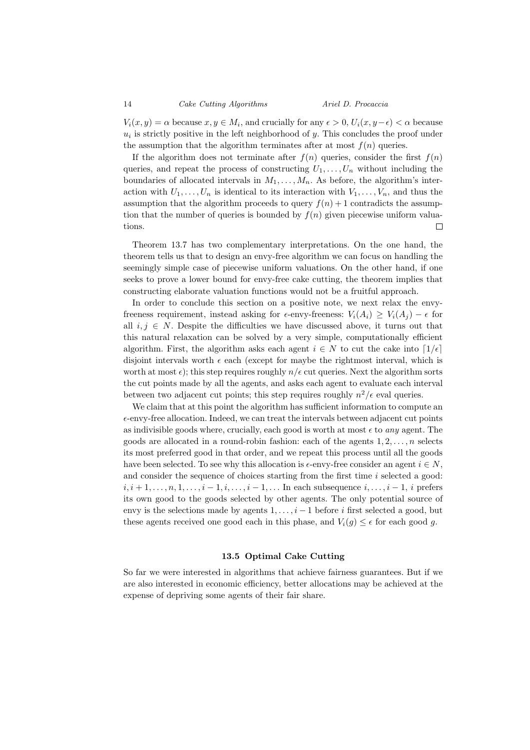14 Cake Cutting Algorithms Ariel D. Procaccia

 $V_i(x, y) = \alpha$  because  $x, y \in M_i$ , and crucially for any  $\epsilon > 0$ ,  $U_i(x, y - \epsilon) < \alpha$  because  $u_i$  is strictly positive in the left neighborhood of y. This concludes the proof under the assumption that the algorithm terminates after at most  $f(n)$  queries.

If the algorithm does not terminate after  $f(n)$  queries, consider the first  $f(n)$ queries, and repeat the process of constructing  $U_1, \ldots, U_n$  without including the boundaries of allocated intervals in  $M_1, \ldots, M_n$ . As before, the algorithm's interaction with  $U_1, \ldots, U_n$  is identical to its interaction with  $V_1, \ldots, V_n$ , and thus the assumption that the algorithm proceeds to query  $f(n) + 1$  contradicts the assumption that the number of queries is bounded by  $f(n)$  given piecewise uniform valuations.  $\Box$ 

Theorem 13.7 has two complementary interpretations. On the one hand, the theorem tells us that to design an envy-free algorithm we can focus on handling the seemingly simple case of piecewise uniform valuations. On the other hand, if one seeks to prove a lower bound for envy-free cake cutting, the theorem implies that constructing elaborate valuation functions would not be a fruitful approach.

In order to conclude this section on a positive note, we next relax the envyfreeness requirement, instead asking for  $\epsilon$ -envy-freeness:  $V_i(A_i) \geq V_i(A_i) - \epsilon$  for all  $i, j \in N$ . Despite the difficulties we have discussed above, it turns out that this natural relaxation can be solved by a very simple, computationally efficient algorithm. First, the algorithm asks each agent  $i \in N$  to cut the cake into  $\lceil 1/\epsilon \rceil$ disjoint intervals worth  $\epsilon$  each (except for maybe the rightmost interval, which is worth at most  $\epsilon$ ); this step requires roughly  $n/\epsilon$  cut queries. Next the algorithm sorts the cut points made by all the agents, and asks each agent to evaluate each interval between two adjacent cut points; this step requires roughly  $n^2/\epsilon$  eval queries.

We claim that at this point the algorithm has sufficient information to compute an  $\epsilon$ -envy-free allocation. Indeed, we can treat the intervals between adjacent cut points as indivisible goods where, crucially, each good is worth at most  $\epsilon$  to *any* agent. The goods are allocated in a round-robin fashion: each of the agents  $1, 2, \ldots, n$  selects its most preferred good in that order, and we repeat this process until all the goods have been selected. To see why this allocation is  $\epsilon$ -envy-free consider an agent  $i \in N$ , and consider the sequence of choices starting from the first time  $i$  selected a good:  $i, i+1, \ldots, n, 1, \ldots, i-1, i, \ldots, i-1, \ldots$  In each subsequence  $i, \ldots, i-1, i$  prefers its own good to the goods selected by other agents. The only potential source of envy is the selections made by agents  $1, \ldots, i-1$  before i first selected a good, but these agents received one good each in this phase, and  $V_i(g) \leq \epsilon$  for each good g.

#### 13.5 Optimal Cake Cutting

So far we were interested in algorithms that achieve fairness guarantees. But if we are also interested in economic efficiency, better allocations may be achieved at the expense of depriving some agents of their fair share.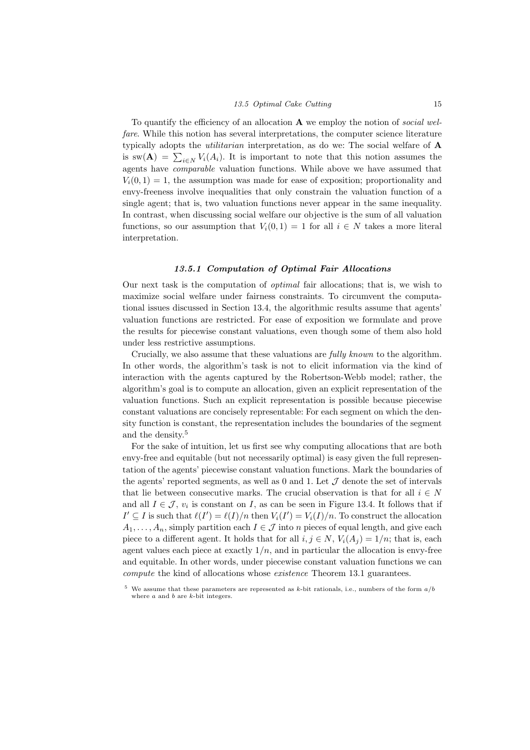#### 13.5 Optimal Cake Cutting 15

To quantify the efficiency of an allocation  $A$  we employ the notion of social welfare. While this notion has several interpretations, the computer science literature typically adopts the utilitarian interpretation, as do we: The social welfare of A is sw( $\mathbf{A}$ ) =  $\sum_{i\in N} V_i(A_i)$ . It is important to note that this notion assumes the agents have comparable valuation functions. While above we have assumed that  $V_i(0, 1) = 1$ , the assumption was made for ease of exposition; proportionality and envy-freeness involve inequalities that only constrain the valuation function of a single agent; that is, two valuation functions never appear in the same inequality. In contrast, when discussing social welfare our objective is the sum of all valuation functions, so our assumption that  $V_i(0, 1) = 1$  for all  $i \in N$  takes a more literal interpretation.

#### 13.5.1 Computation of Optimal Fair Allocations

Our next task is the computation of optimal fair allocations; that is, we wish to maximize social welfare under fairness constraints. To circumvent the computational issues discussed in Section 13.4, the algorithmic results assume that agents' valuation functions are restricted. For ease of exposition we formulate and prove the results for piecewise constant valuations, even though some of them also hold under less restrictive assumptions.

Crucially, we also assume that these valuations are fully known to the algorithm. In other words, the algorithm's task is not to elicit information via the kind of interaction with the agents captured by the Robertson-Webb model; rather, the algorithm's goal is to compute an allocation, given an explicit representation of the valuation functions. Such an explicit representation is possible because piecewise constant valuations are concisely representable: For each segment on which the density function is constant, the representation includes the boundaries of the segment and the density.<sup>5</sup>

For the sake of intuition, let us first see why computing allocations that are both envy-free and equitable (but not necessarily optimal) is easy given the full representation of the agents' piecewise constant valuation functions. Mark the boundaries of the agents' reported segments, as well as 0 and 1. Let  $\mathcal J$  denote the set of intervals that lie between consecutive marks. The crucial observation is that for all  $i \in N$ and all  $I \in \mathcal{J}$ ,  $v_i$  is constant on I, as can be seen in Figure 13.4. It follows that if  $I' \subseteq I$  is such that  $\ell(I') = \ell(I)/n$  then  $V_i(I') = V_i(I)/n$ . To construct the allocation  $A_1, \ldots, A_n$ , simply partition each  $I \in \mathcal{J}$  into n pieces of equal length, and give each piece to a different agent. It holds that for all  $i, j \in N$ ,  $V_i(A_i) = 1/n$ ; that is, each agent values each piece at exactly  $1/n$ , and in particular the allocation is envy-free and equitable. In other words, under piecewise constant valuation functions we can compute the kind of allocations whose existence Theorem 13.1 guarantees.

We assume that these parameters are represented as k-bit rationals, i.e., numbers of the form  $a/b$ where a and b are k-bit integers.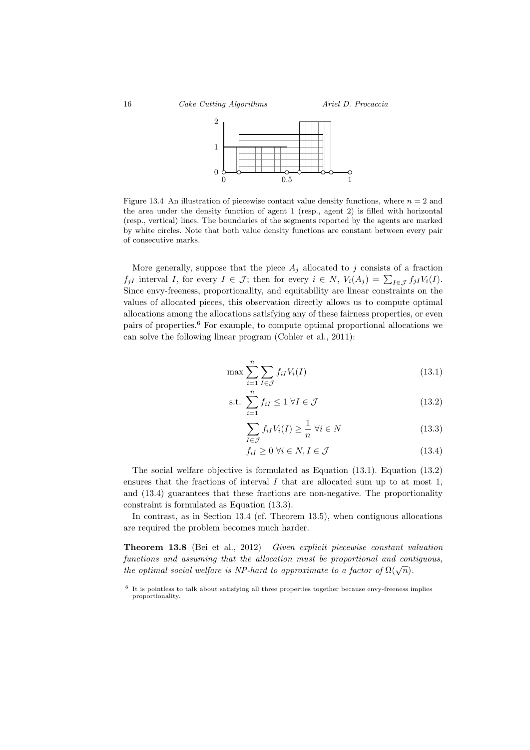

Figure 13.4 An illustration of piecewise contant value density functions, where  $n = 2$  and the area under the density function of agent 1 (resp., agent 2) is filled with horizontal (resp., vertical) lines. The boundaries of the segments reported by the agents are marked by white circles. Note that both value density functions are constant between every pair of consecutive marks.

More generally, suppose that the piece  $A_i$  allocated to j consists of a fraction  $f_{jI}$  interval I, for every  $I \in \mathcal{J}$ ; then for every  $i \in N$ ,  $V_i(A_j) = \sum_{I \in \mathcal{J}} f_{jI} V_i(I)$ . Since envy-freeness, proportionality, and equitability are linear constraints on the values of allocated pieces, this observation directly allows us to compute optimal allocations among the allocations satisfying any of these fairness properties, or even pairs of properties.<sup>6</sup> For example, to compute optimal proportional allocations we can solve the following linear program (Cohler et al., 2011):

$$
\max \sum_{i=1}^{n} \sum_{I \in \mathcal{J}} f_{iI} V_i(I) \tag{13.1}
$$

$$
\text{s.t. } \sum_{i=1}^{n} f_{iI} \le 1 \ \forall I \in \mathcal{J} \tag{13.2}
$$

$$
\sum_{I \in \mathcal{J}} f_{iI} V_i(I) \ge \frac{1}{n} \,\forall i \in N \tag{13.3}
$$

$$
f_{iI} \ge 0 \,\,\forall i \in N, I \in \mathcal{J} \tag{13.4}
$$

The social welfare objective is formulated as Equation (13.1). Equation (13.2) ensures that the fractions of interval  $I$  that are allocated sum up to at most  $1$ , and (13.4) guarantees that these fractions are non-negative. The proportionality constraint is formulated as Equation (13.3).

In contrast, as in Section 13.4 (cf. Theorem 13.5), when contiguous allocations are required the problem becomes much harder.

Theorem 13.8 (Bei et al., 2012) Given explicit piecewise constant valuation functions and assuming that the allocation must be proportional and contiguous, the optimal social welfare is NP-hard to approximate to a factor of  $\Omega(\sqrt{n})$ .

<sup>&</sup>lt;sup>6</sup> It is pointless to talk about satisfying all three properties together because envy-freeness implies proportionality.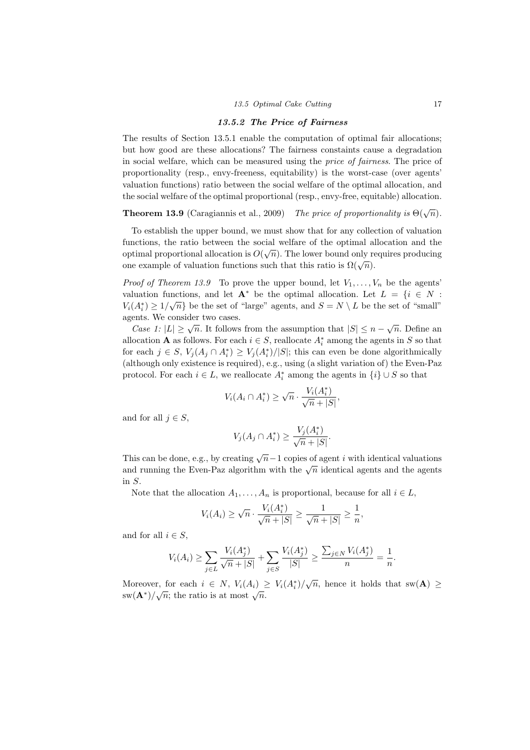#### 13.5.2 The Price of Fairness

The results of Section 13.5.1 enable the computation of optimal fair allocations; but how good are these allocations? The fairness constaints cause a degradation in social welfare, which can be measured using the price of fairness. The price of proportionality (resp., envy-freeness, equitability) is the worst-case (over agents' valuation functions) ratio between the social welfare of the optimal allocation, and the social welfare of the optimal proportional (resp., envy-free, equitable) allocation.

**Theorem 13.9** (Caragiannis et al., 2009) The price of proportionality is  $\Theta(\sqrt{n})$ .

To establish the upper bound, we must show that for any collection of valuation functions, the ratio between the social welfare of the optimal allocation and the optimal proportional allocation is  $O(\sqrt{n})$ . The lower bound only requires producing one example of valuation functions such that this ratio is  $\Omega(\sqrt{n})$ .

*Proof of Theorem 13.9* To prove the upper bound, let  $V_1, \ldots, V_n$  be the agents' valuation functions, and let  $\mathbf{A}^*$  be the optimal allocation. Let  $L = \{i \in N : M(i) > 1, (j) > 1, (j) > 1, (j) > 1, (j) > 1, (j) > 1, (j) > 1, (j) > 1, (j) > 1, (j) > 1, (j) > 1, (j) > 1, (j) > 1, (j) > 1, (j) > 1, (j) > 1, (j) > 1, (j) > 1, (j) > 1, (j) > 1,$  $V_i(A_i^*) \geq 1/\sqrt{n}$  be the set of "large" agents, and  $S = N \setminus L$  be the set of "small" agents. We consider two cases.

Case 1:  $|L| \ge \sqrt{n}$ . It follows from the assumption that  $|S| \le n - \sqrt{n}$ . Define an allocation **A** as follows. For each  $i \in S$ , reallocate  $A_i^*$  among the agents in S so that for each  $j \in S$ ,  $V_j(A_j \cap A_i^*) \geq V_j(A_i^*)/|S|$ ; this can even be done algorithmically (although only existence is required), e.g., using (a slight variation of) the Even-Paz protocol. For each  $i \in L$ , we reallocate  $A_i^*$  among the agents in  $\{i\} \cup S$  so that

$$
V_i(A_i \cap A_i^*) \ge \sqrt{n} \cdot \frac{V_i(A_i^*)}{\sqrt{n} + |S|},
$$

and for all  $j \in S$ ,

$$
V_j(A_j \cap A_i^*) \ge \frac{V_j(A_i^*)}{\sqrt{n} + |S|}.
$$

This can be done, e.g., by creating  $\sqrt{n}-1$  copies of agent i with identical valuations and running the Even-Paz algorithm with the  $\sqrt{n}$  identical agents and the agents and the agents in S.

Note that the allocation  $A_1, \ldots, A_n$  is proportional, because for all  $i \in L$ ,

$$
V_i(A_i) \ge \sqrt{n} \cdot \frac{V_i(A_i^*)}{\sqrt{n} + |S|} \ge \frac{1}{\sqrt{n} + |S|} \ge \frac{1}{n},
$$

and for all  $i \in S$ ,

$$
V_i(A_i) \ge \sum_{j \in L} \frac{V_i(A_j^*)}{\sqrt{n} + |S|} + \sum_{j \in S} \frac{V_i(A_j^*)}{|S|} \ge \frac{\sum_{j \in N} V_i(A_j^*)}{n} = \frac{1}{n}.
$$

Moreover, for each  $i \in N$ ,  $V_i(A_i) \geq V_i(A_i^*)/\sqrt{n}$ , hence it holds that  $sw(\mathbf{A}) \geq$ sw( $\mathbf{A}^*$ )/ $\sqrt{n}$ ; the ratio is at most  $\sqrt{n}$ .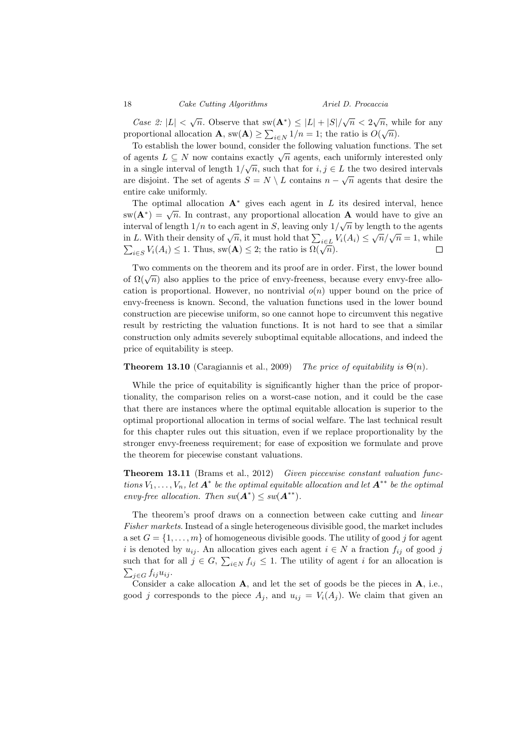18 Cake Cutting Algorithms Ariel D. Procaccia

Case 2:  $|L| < \sqrt{n}$ . Observe that  $sw(A^*) \leq |L| + |S|/\sqrt{n} < 2\sqrt{n}$ , while for any proportional allocation  $\mathbf{A}$ ,  $\mathbf{sw}(\mathbf{A}) \ge \sum_{i \in N} 1/n = 1$ ; the ratio is  $O(\sqrt{n})$ .

To establish the lower bound, consider the following valuation functions. The set To establish the lower bound, consider the lonowing variation functions. The set<br>of agents  $L \subseteq N$  now contains exactly  $\sqrt{n}$  agents, each uniformly interested only in a single interval of length  $1/\sqrt{n}$ , such that for  $i, j \in L$  the two desired intervals are disjoint. The set of agents  $S = N \setminus L$  contains  $n - \sqrt{n}$  agents that desire the entire cake uniformly.

The optimal allocation  $A^*$  gives each agent in L its desired interval, hence sw( $\mathbf{A}^*$ ) =  $\sqrt{n}$ . In contrast, any proportional allocation  $\mathbf{A}$  would have to give an interval of length  $1/n$  to each agent in S, leaving only  $1/\sqrt{n}$  by length to the agents in L. With their density of  $\sqrt{n}$ , it must hold that  $\sum_{i \in L} V_i(A_i) \le \sqrt{n}/\sqrt{n} = 1$ , while in *E*: With then density of  $\sqrt{n}$ , it must note that  $\sum_{i\in L} \sqrt[n]{\sum_{i\in L} n_i}$ .<br> $\sum_{i\in S} V_i(A_i) \leq 1$ . Thus, sw(**A**)  $\leq 2$ ; the ratio is  $\Omega(\sqrt{n})$ .  $\Box$ 

Two comments on the theorem and its proof are in order. First, the lower bound Two comments on the theorem and its proof are in order. This, the lower bound<br>of  $\Omega(\sqrt{n})$  also applies to the price of envy-freeness, because every envy-free allocation is proportional. However, no nontrivial  $o(n)$  upper bound on the price of envy-freeness is known. Second, the valuation functions used in the lower bound construction are piecewise uniform, so one cannot hope to circumvent this negative result by restricting the valuation functions. It is not hard to see that a similar construction only admits severely suboptimal equitable allocations, and indeed the price of equitability is steep.

#### **Theorem 13.10** (Caragiannis et al., 2009) The price of equitability is  $\Theta(n)$ .

While the price of equitability is significantly higher than the price of proportionality, the comparison relies on a worst-case notion, and it could be the case that there are instances where the optimal equitable allocation is superior to the optimal proportional allocation in terms of social welfare. The last technical result for this chapter rules out this situation, even if we replace proportionality by the stronger envy-freeness requirement; for ease of exposition we formulate and prove the theorem for piecewise constant valuations.

Theorem 13.11 (Brams et al., 2012) Given piecewise constant valuation functions  $V_1, \ldots, V_n$ , let  $\mathbf{A}^*$  be the optimal equitable allocation and let  $\mathbf{A}^{**}$  be the optimal envy-free allocation. Then  $sw(A^*) \leq sw(A^{**})$ .

The theorem's proof draws on a connection between cake cutting and linear Fisher markets. Instead of a single heterogeneous divisible good, the market includes a set  $G = \{1, \ldots, m\}$  of homogeneous divisible goods. The utility of good j for agent i is denoted by  $u_{ij}$ . An allocation gives each agent  $i \in N$  a fraction  $f_{ij}$  of good j such that for all  $j \in G$ ,  $\sum_{i \in N} f_{ij} \leq 1$ . The utility of agent i for an allocation is  $\sum_{j\in G} f_{ij}u_{ij}$ .

Consider a cake allocation  $A$ , and let the set of goods be the pieces in  $A$ , i.e., good j corresponds to the piece  $A_j$ , and  $u_{ij} = V_i(A_j)$ . We claim that given an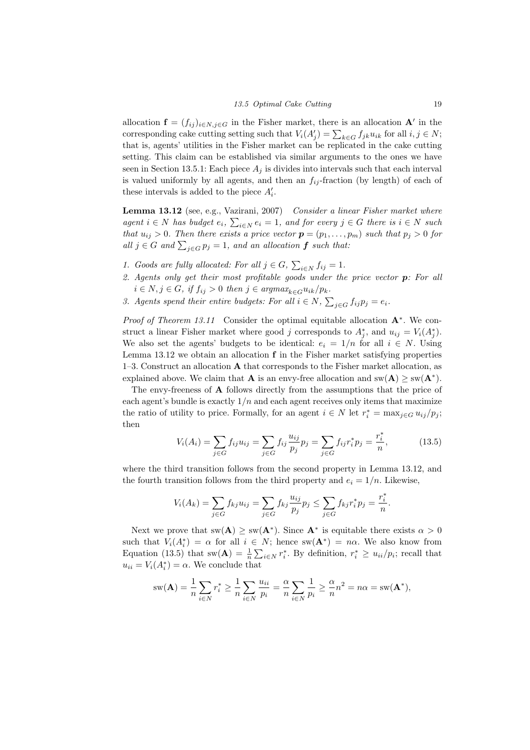allocation  $\mathbf{f} = (f_{ij})_{i \in N, j \in G}$  in the Fisher market, there is an allocation  $\mathbf{A}'$  in the corresponding cake cutting setting such that  $V_i(A'_j) = \sum_{k \in G} f_{jk} u_{ik}$  for all  $i, j \in N$ ; that is, agents' utilities in the Fisher market can be replicated in the cake cutting setting. This claim can be established via similar arguments to the ones we have seen in Section 13.5.1: Each piece  $A_i$  is divides into intervals such that each interval is valued uniformly by all agents, and then an  $f_{ij}$ -fraction (by length) of each of these intervals is added to the piece  $A_i'$ .

Lemma 13.12 (see, e.g., Vazirani, 2007) Consider a linear Fisher market where agent  $i \in N$  has budget  $e_i$ ,  $\sum_{i \in N} e_i = 1$ , and for every  $j \in G$  there is  $i \in N$  such that  $u_{ij} > 0$ . Then there exists a price vector  $p = (p_1, \ldots, p_m)$  such that  $p_j > 0$  for all  $j \in G$  and  $\sum_{j \in G} p_j = 1$ , and an allocation  $f$  such that:

- 1. Goods are fully allocated: For all  $j \in G$ ,  $\sum_{i \in N} f_{ij} = 1$ .
- 2. Agents only get their most profitable goods under the price vector  $p$ : For all  $i \in N, j \in G$ , if  $f_{ij} > 0$  then  $j \in argmax_{k \in G} u_{ik}/p_k$ .
- 3. Agents spend their entire budgets: For all  $i \in N$ ,  $\sum_{j \in G} f_{ij} p_j = e_i$ .

Proof of Theorem 13.11 Consider the optimal equitable allocation A<sup>∗</sup>. We construct a linear Fisher market where good j corresponds to  $A_j^*$ , and  $u_{ij} = V_i(A_j^*)$ . We also set the agents' budgets to be identical:  $e_i = 1/n$  for all  $i \in N$ . Using Lemma  $13.12$  we obtain an allocation  $f$  in the Fisher market satisfying properties 1–3. Construct an allocation A that corresponds to the Fisher market allocation, as explained above. We claim that **A** is an envy-free allocation and  $sw(A) \ge sw(A^*)$ .

The envy-freeness of A follows directly from the assumptions that the price of each agent's bundle is exactly  $1/n$  and each agent receives only items that maximize the ratio of utility to price. Formally, for an agent  $i \in N$  let  $r_i^* = \max_{j \in G} u_{ij}/p_j$ ; then

$$
V_i(A_i) = \sum_{j \in G} f_{ij} u_{ij} = \sum_{j \in G} f_{ij} \frac{u_{ij}}{p_j} p_j = \sum_{j \in G} f_{ij} r_i^* p_j = \frac{r_i^*}{n},
$$
(13.5)

where the third transition follows from the second property in Lemma 13.12, and the fourth transition follows from the third property and  $e_i = 1/n$ . Likewise,

$$
V_i(A_k) = \sum_{j \in G} f_{kj} u_{ij} = \sum_{j \in G} f_{kj} \frac{u_{ij}}{p_j} p_j \le \sum_{j \in G} f_{kj} r_i^* p_j = \frac{r_i^*}{n}.
$$

Next we prove that  $sw(A) \ge sw(A^*)$ . Since  $A^*$  is equitable there exists  $\alpha > 0$ such that  $V_i(A_i^*) = \alpha$  for all  $i \in N$ ; hence  $sw(A^*) = n\alpha$ . We also know from Equation (13.5) that  $sw(A) = \frac{1}{n} \sum_{i \in N} r_i^*$ . By definition,  $r_i^* \geq u_{ii}/p_i$ ; recall that  $u_{ii} = V_i(A_i^*) = \alpha$ . We conclude that

$$
sw(\mathbf{A}) = \frac{1}{n} \sum_{i \in N} r_i^* \ge \frac{1}{n} \sum_{i \in N} \frac{u_{ii}}{p_i} = \frac{\alpha}{n} \sum_{i \in N} \frac{1}{p_i} \ge \frac{\alpha}{n} n^2 = n\alpha = sw(\mathbf{A}^*),
$$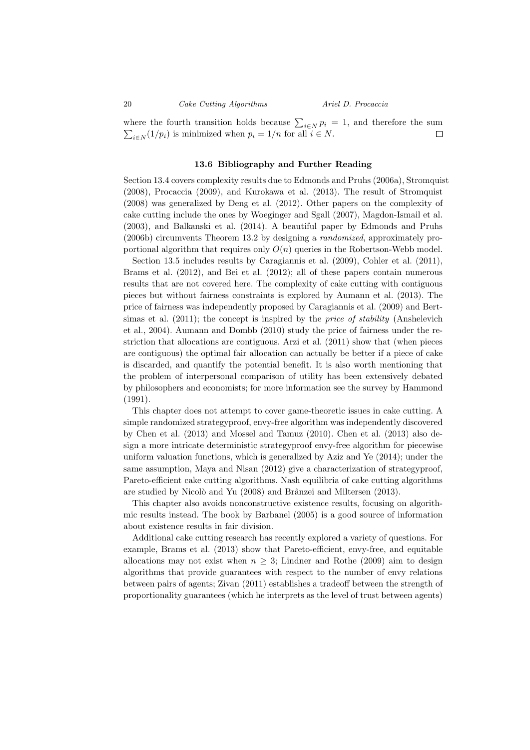20 Cake Cutting Algorithms Ariel D. Procaccia

where the fourth transition holds because  $\sum_{i\in N} p_i = 1$ , and therefore the sum  $\sum_{i\in N} (1/p_i)$  is minimized when  $p_i = 1/n$  for all  $i \in N$ .  $\Box$ 

#### 13.6 Bibliography and Further Reading

Section 13.4 covers complexity results due to Edmonds and Pruhs (2006a), Stromquist (2008), Procaccia (2009), and Kurokawa et al. (2013). The result of Stromquist (2008) was generalized by Deng et al. (2012). Other papers on the complexity of cake cutting include the ones by Woeginger and Sgall (2007), Magdon-Ismail et al. (2003), and Balkanski et al. (2014). A beautiful paper by Edmonds and Pruhs (2006b) circumvents Theorem 13.2 by designing a randomized, approximately proportional algorithm that requires only  $O(n)$  queries in the Robertson-Webb model.

Section 13.5 includes results by Caragiannis et al. (2009), Cohler et al. (2011), Brams et al. (2012), and Bei et al. (2012); all of these papers contain numerous results that are not covered here. The complexity of cake cutting with contiguous pieces but without fairness constraints is explored by Aumann et al. (2013). The price of fairness was independently proposed by Caragiannis et al. (2009) and Bertsimas et al.  $(2011)$ ; the concept is inspired by the *price of stability* (Anshelevich et al., 2004). Aumann and Dombb (2010) study the price of fairness under the restriction that allocations are contiguous. Arzi et al. (2011) show that (when pieces are contiguous) the optimal fair allocation can actually be better if a piece of cake is discarded, and quantify the potential benefit. It is also worth mentioning that the problem of interpersonal comparison of utility has been extensively debated by philosophers and economists; for more information see the survey by Hammond (1991).

This chapter does not attempt to cover game-theoretic issues in cake cutting. A simple randomized strategyproof, envy-free algorithm was independently discovered by Chen et al. (2013) and Mossel and Tamuz (2010). Chen et al. (2013) also design a more intricate deterministic strategyproof envy-free algorithm for piecewise uniform valuation functions, which is generalized by Aziz and Ye (2014); under the same assumption, Maya and Nisan (2012) give a characterization of strategyproof, Pareto-efficient cake cutting algorithms. Nash equilibria of cake cutting algorithms are studied by Nicolò and Yu (2008) and Brânzei and Miltersen (2013).

This chapter also avoids nonconstructive existence results, focusing on algorithmic results instead. The book by Barbanel (2005) is a good source of information about existence results in fair division.

Additional cake cutting research has recently explored a variety of questions. For example, Brams et al. (2013) show that Pareto-efficient, envy-free, and equitable allocations may not exist when  $n \geq 3$ ; Lindner and Rothe (2009) aim to design algorithms that provide guarantees with respect to the number of envy relations between pairs of agents; Zivan (2011) establishes a tradeoff between the strength of proportionality guarantees (which he interprets as the level of trust between agents)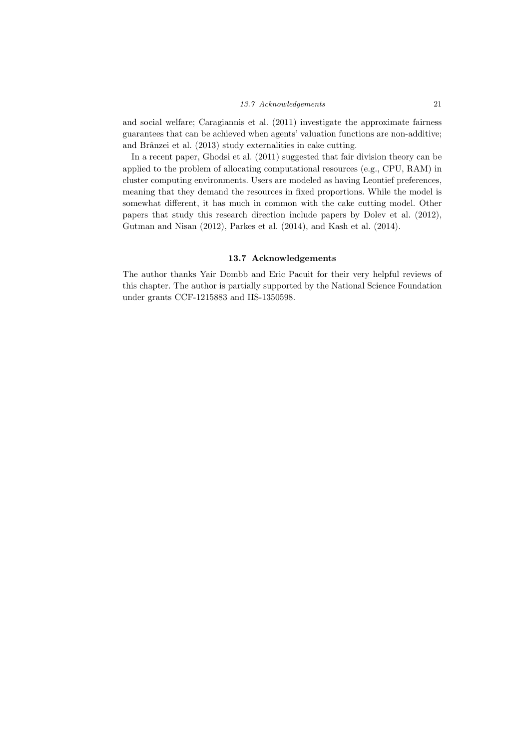and social welfare; Caragiannis et al. (2011) investigate the approximate fairness guarantees that can be achieved when agents' valuation functions are non-additive; and Brânzei et al. (2013) study externalities in cake cutting.

In a recent paper, Ghodsi et al. (2011) suggested that fair division theory can be applied to the problem of allocating computational resources (e.g., CPU, RAM) in cluster computing environments. Users are modeled as having Leontief preferences, meaning that they demand the resources in fixed proportions. While the model is somewhat different, it has much in common with the cake cutting model. Other papers that study this research direction include papers by Dolev et al. (2012), Gutman and Nisan (2012), Parkes et al. (2014), and Kash et al. (2014).

#### 13.7 Acknowledgements

The author thanks Yair Dombb and Eric Pacuit for their very helpful reviews of this chapter. The author is partially supported by the National Science Foundation under grants CCF-1215883 and IIS-1350598.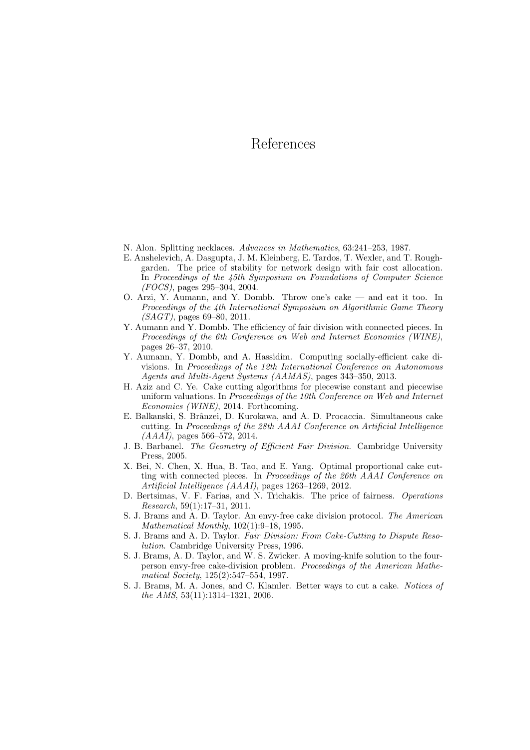## References

- N. Alon. Splitting necklaces. Advances in Mathematics, 63:241–253, 1987.
- E. Anshelevich, A. Dasgupta, J. M. Kleinberg, E. Tardos, T. Wexler, and T. Roughgarden. The price of stability for network design with fair cost allocation. In Proceedings of the 45th Symposium on Foundations of Computer Science (FOCS), pages 295–304, 2004.
- O. Arzi, Y. Aumann, and Y. Dombb. Throw one's cake and eat it too. In Proceedings of the 4th International Symposium on Algorithmic Game Theory  $(SAGT)$ , pages 69–80, 2011.
- Y. Aumann and Y. Dombb. The efficiency of fair division with connected pieces. In Proceedings of the 6th Conference on Web and Internet Economics (WINE), pages 26–37, 2010.
- Y. Aumann, Y. Dombb, and A. Hassidim. Computing socially-efficient cake divisions. In Proceedings of the 12th International Conference on Autonomous Agents and Multi-Agent Systems (AAMAS), pages 343–350, 2013.
- H. Aziz and C. Ye. Cake cutting algorithms for piecewise constant and piecewise uniform valuations. In Proceedings of the 10th Conference on Web and Internet Economics (WINE), 2014. Forthcoming.
- E. Balkanski, S. Brânzei, D. Kurokawa, and A. D. Procaccia. Simultaneous cake cutting. In Proceedings of the 28th AAAI Conference on Artificial Intelligence  $(AAAI)$ , pages 566–572, 2014.
- J. B. Barbanel. The Geometry of Efficient Fair Division. Cambridge University Press, 2005.
- X. Bei, N. Chen, X. Hua, B. Tao, and E. Yang. Optimal proportional cake cutting with connected pieces. In Proceedings of the 26th AAAI Conference on Artificial Intelligence (AAAI), pages 1263–1269, 2012.
- D. Bertsimas, V. F. Farias, and N. Trichakis. The price of fairness. Operations Research, 59(1):17–31, 2011.
- S. J. Brams and A. D. Taylor. An envy-free cake division protocol. The American Mathematical Monthly, 102(1):9–18, 1995.
- S. J. Brams and A. D. Taylor. Fair Division: From Cake-Cutting to Dispute Resolution. Cambridge University Press, 1996.
- S. J. Brams, A. D. Taylor, and W. S. Zwicker. A moving-knife solution to the fourperson envy-free cake-division problem. Proceedings of the American Mathematical Society, 125(2):547–554, 1997.
- S. J. Brams, M. A. Jones, and C. Klamler. Better ways to cut a cake. Notices of the AMS, 53(11):1314–1321, 2006.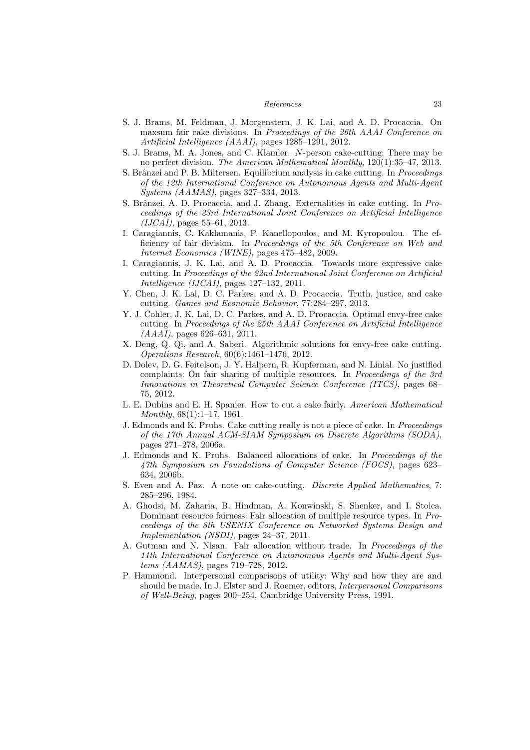#### References 23

- S. J. Brams, M. Feldman, J. Morgenstern, J. K. Lai, and A. D. Procaccia. On maxsum fair cake divisions. In Proceedings of the 26th AAAI Conference on Artificial Intelligence (AAAI), pages 1285–1291, 2012.
- S. J. Brams, M. A. Jones, and C. Klamler. N-person cake-cutting: There may be no perfect division. The American Mathematical Monthly, 120(1):35–47, 2013.
- S. Brânzei and P. B. Miltersen. Equilibrium analysis in cake cutting. In *Proceedings* of the 12th International Conference on Autonomous Agents and Multi-Agent Systems (AAMAS), pages 327–334, 2013.
- S. Brânzei, A. D. Procaccia, and J. Zhang. Externalities in cake cutting. In Proceedings of the 23rd International Joint Conference on Artificial Intelligence  $(IJCAI)$ , pages 55–61, 2013.
- I. Caragiannis, C. Kaklamanis, P. Kanellopoulos, and M. Kyropoulou. The efficiency of fair division. In Proceedings of the 5th Conference on Web and Internet Economics (WINE), pages 475–482, 2009.
- I. Caragiannis, J. K. Lai, and A. D. Procaccia. Towards more expressive cake cutting. In Proceedings of the 22nd International Joint Conference on Artificial Intelligence (IJCAI), pages 127–132, 2011.
- Y. Chen, J. K. Lai, D. C. Parkes, and A. D. Procaccia. Truth, justice, and cake cutting. Games and Economic Behavior, 77:284–297, 2013.
- Y. J. Cohler, J. K. Lai, D. C. Parkes, and A. D. Procaccia. Optimal envy-free cake cutting. In Proceedings of the 25th AAAI Conference on Artificial Intelligence  $(AAAI)$ , pages 626–631, 2011.
- X. Deng, Q. Qi, and A. Saberi. Algorithmic solutions for envy-free cake cutting. Operations Research, 60(6):1461–1476, 2012.
- D. Dolev, D. G. Feitelson, J. Y. Halpern, R. Kupferman, and N. Linial. No justified complaints: On fair sharing of multiple resources. In Proceedings of the 3rd Innovations in Theoretical Computer Science Conference (ITCS), pages 68– 75, 2012.
- L. E. Dubins and E. H. Spanier. How to cut a cake fairly. American Mathematical Monthly, 68(1):1–17, 1961.
- J. Edmonds and K. Pruhs. Cake cutting really is not a piece of cake. In Proceedings of the 17th Annual ACM-SIAM Symposium on Discrete Algorithms (SODA), pages 271–278, 2006a.
- J. Edmonds and K. Pruhs. Balanced allocations of cake. In Proceedings of the 47th Symposium on Foundations of Computer Science (FOCS), pages 623– 634, 2006b.
- S. Even and A. Paz. A note on cake-cutting. Discrete Applied Mathematics, 7: 285–296, 1984.
- A. Ghodsi, M. Zaharia, B. Hindman, A. Konwinski, S. Shenker, and I. Stoica. Dominant resource fairness: Fair allocation of multiple resource types. In Proceedings of the 8th USENIX Conference on Networked Systems Design and Implementation (NSDI), pages 24–37, 2011.
- A. Gutman and N. Nisan. Fair allocation without trade. In Proceedings of the 11th International Conference on Autonomous Agents and Multi-Agent Systems (AAMAS), pages 719–728, 2012.
- P. Hammond. Interpersonal comparisons of utility: Why and how they are and should be made. In J. Elster and J. Roemer, editors, Interpersonal Comparisons of Well-Being, pages 200–254. Cambridge University Press, 1991.